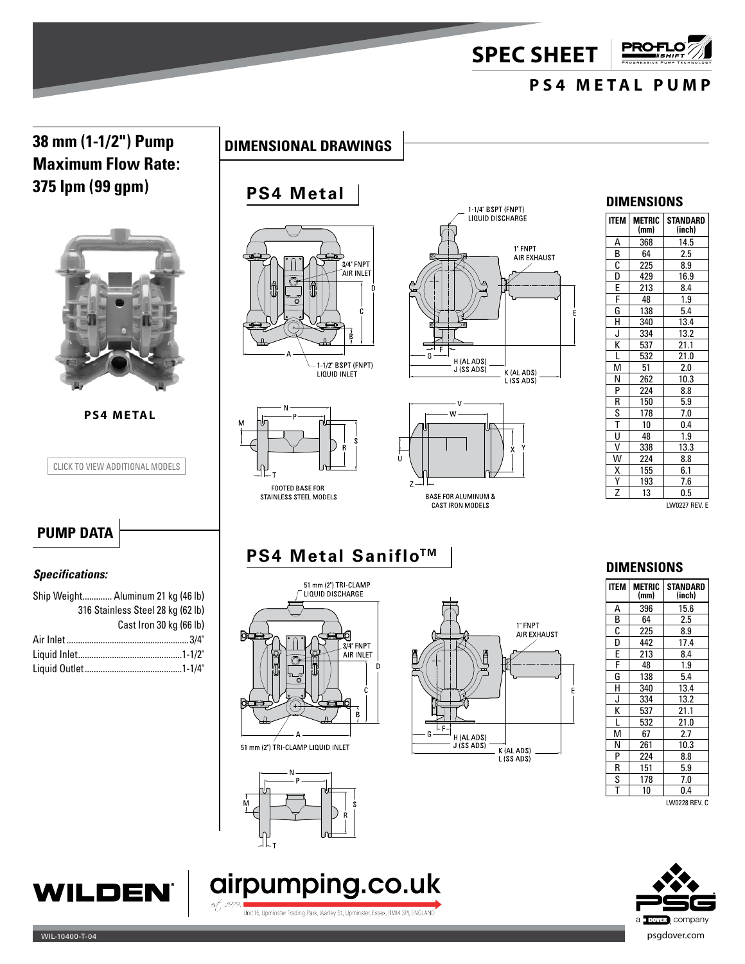**SPEC SHEET**

# **PS4 METAL PUMP**

**PRO+** 

## **38 mm (1-1/2") Pump Maximum Flow Rate: 375 lpm (99 gpm)**



**PS4 METAL**

CLICK TO VIEW ADDITIONAL MODELS



# **PS4 Metal**









**CAST IRON MODELS** 

#### **DIMENSIONS**

| <b>ITEM</b>                               | <b>METRIC</b><br>(mm) | STANDARD<br>(inch) |
|-------------------------------------------|-----------------------|--------------------|
|                                           | 368                   | 14.5               |
| $\frac{A}{B}$ $\frac{B}{C}$ $\frac{C}{E}$ | 64                    | 2.5                |
|                                           | 225                   | 8.9                |
|                                           | 429                   | 16.9               |
|                                           | 213                   | 8.4                |
| $rac{F}{G}$                               | 48                    | 1.9                |
|                                           | 138                   | 5.4                |
| $\overline{\mathsf{H}}$                   | 340                   | 13.4               |
| J                                         | 334                   | 13.2               |
| K                                         | 537                   | 21.1               |
| $\frac{L}{M}$                             | 532                   | 21.0               |
|                                           | 51                    | 2.0                |
| N                                         | 262                   | 10.3               |
| $\overline{P}$                            | 224                   | 8.8                |
| $\overline{\mathsf{R}}$                   | 150                   | 5.9                |
| $rac{\overline{S}}{\overline{T}}$         | 178                   | 7.0                |
|                                           | 10                    | 0.4                |
|                                           | 48                    | 1.9                |
| $\overline{\mathsf{v}}$                   | 338                   | 13.3               |
| $\overline{\mathsf{w}}$                   | 224                   | 8.8                |
| $\overline{\mathsf{x}}$                   | 155                   | 6.1                |
| $\frac{Y}{Z}$                             | 193                   | 7.6                |
|                                           | 13                    | 0.5                |

#### LW0227 REV. E

## **PUMP DATA**

#### *Specifications:*

| Ship Weight Aluminum 21 kg (46 lb) |                                   |  |
|------------------------------------|-----------------------------------|--|
|                                    | 316 Stainless Steel 28 kg (62 lb) |  |
|                                    | Cast Iron 30 kg (66 lb)           |  |
|                                    |                                   |  |
|                                    |                                   |  |
|                                    |                                   |  |
|                                    |                                   |  |

# **PS4 Metal Saniflo™**







#### **DIMENSIONS**

| <b>ITEM</b>                         | <b>METRIC</b><br>(mm) | <b>STANDARD</b><br>(inch) |
|-------------------------------------|-----------------------|---------------------------|
| А                                   | 396                   | 15.6                      |
| $\frac{\mathsf{B}}{\mathsf{C}}$     | 64                    | 2.5                       |
|                                     | 225                   | 8.9                       |
| $\frac{\overline{D}}{\overline{E}}$ | 442                   | 17.4                      |
|                                     | 213                   | 8.4                       |
|                                     | 48                    | 1.9                       |
| G                                   | 138                   | 5.4                       |
| н                                   | 340                   | 13.4                      |
| J                                   | 334                   | 13.2                      |
| K                                   | 537                   | 21.1                      |
| L                                   | 532                   | 21.0                      |
| M                                   | 67                    | 2.7                       |
| Ν                                   | 261                   | 10.3                      |
| P                                   | 224                   | 8.8                       |
| R                                   | 151                   | 5.9                       |
| S                                   | 178                   | 7.0                       |
| T                                   | 10                    | 0.4                       |

LW0228 REV. C





Unit 16, Upminster Trading Park, Warley St., Upminster, Essex, RM14 3PJ, ENGLAND

airpumping.co.uk